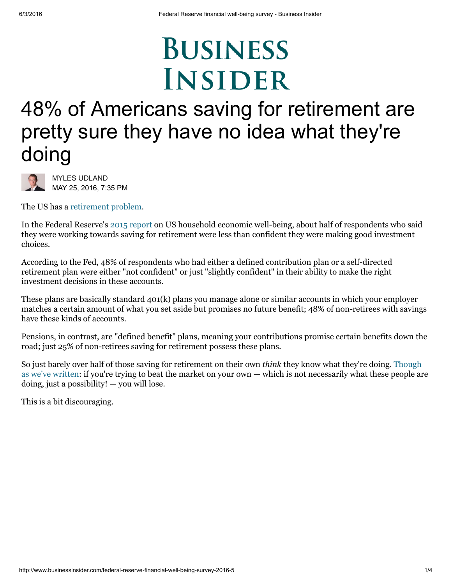## **BUSINESS INSIDER**

## 48% of Americans saving for retirement are pretty sure they have no idea what they're doing



MYLES [UDLAND](http://www.businessinsider.com/author/myles-udland) MAY 25, 2016, 7:35 PM

The US has a [retirement](http://www.businessinsider.com/blackstone-a-hidden-crisis-in-america-2015-7) problem.

In the Federal Reserve's 2015 [report](http://www.federalreserve.gov/newsevents/press/other/20160525a.htm) on US household economic well-being, about half of respondents who said they were working towards saving for retirement were less than confident they were making good investment choices.

According to the Fed, 48% of respondents who had either a defined contribution plan or a self-directed retirement plan were either "not confident" or just "slightly confident" in their ability to make the right investment decisions in these accounts.

These plans are basically standard 401(k) plans you manage alone or similar accounts in which your employer matches a certain amount of what you set aside but promises no future benefit; 48% of non-retirees with savings have these kinds of accounts.

Pensions, in contrast, are "defined benefit" plans, meaning your contributions promise certain benefits down the road; just 25% of non-retirees saving for retirement possess these plans.

So just barely over half of those saving for retirement on their own think they know what they're doing. Though as we've written: if you're trying to beat the market on your own — which is not [necessarily](http://www.businessinsider.com/the-average-investor-is-an-awful-investor-2014-11) what these people are doing, just a possibility! — you will lose.

This is a bit discouraging.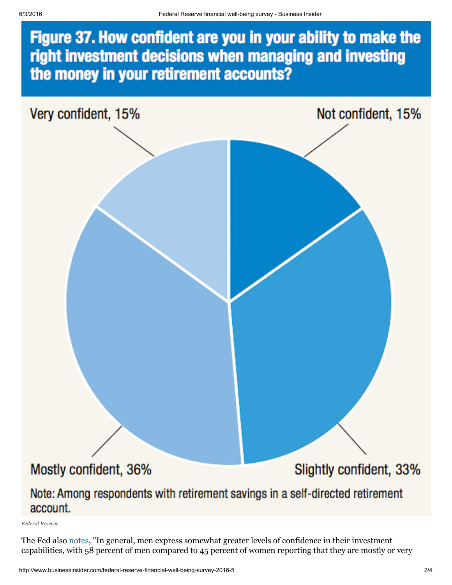## Figure 37. How confident are you in your ability to make the right investment decisions when managing and investing the money in your retirement accounts?



The Fed also [notes](http://www.federalreserve.gov/2015-report-economic-well-being-us-households-201605.pdf), "In general, men express somewhat greater levels of confidence in their investment capabilities, with 58 percent of men compared to 45 percent of women reporting that they are mostly or very